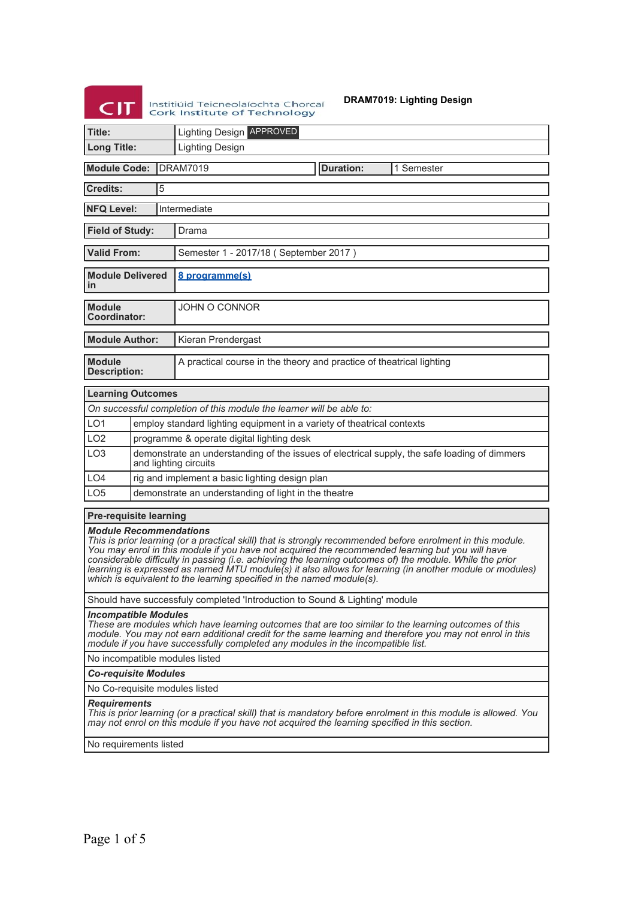Institution de Contexte de la Charles de Contexte de la Charles de Technology<br>Contextinte de Technology

**DRAM7019: Lighting Design**

| <b>マル</b>                                                                                                                                                                                                                                                                                                                                                                                                                                                                                                                                        |  |                                                                                                                       | <b>Cork Institute of Technology</b>                                    |  |                  |            |  |
|--------------------------------------------------------------------------------------------------------------------------------------------------------------------------------------------------------------------------------------------------------------------------------------------------------------------------------------------------------------------------------------------------------------------------------------------------------------------------------------------------------------------------------------------------|--|-----------------------------------------------------------------------------------------------------------------------|------------------------------------------------------------------------|--|------------------|------------|--|
| <b>Lighting Design APPROVED</b><br>Title:                                                                                                                                                                                                                                                                                                                                                                                                                                                                                                        |  |                                                                                                                       |                                                                        |  |                  |            |  |
| <b>Long Title:</b>                                                                                                                                                                                                                                                                                                                                                                                                                                                                                                                               |  |                                                                                                                       | <b>Lighting Design</b>                                                 |  |                  |            |  |
| <b>Module Code:</b>                                                                                                                                                                                                                                                                                                                                                                                                                                                                                                                              |  |                                                                                                                       | <b>DRAM7019</b>                                                        |  | <b>Duration:</b> | 1 Semester |  |
| <b>Credits:</b>                                                                                                                                                                                                                                                                                                                                                                                                                                                                                                                                  |  | 5                                                                                                                     |                                                                        |  |                  |            |  |
| <b>NFQ Level:</b><br>Intermediate                                                                                                                                                                                                                                                                                                                                                                                                                                                                                                                |  |                                                                                                                       |                                                                        |  |                  |            |  |
| <b>Field of Study:</b>                                                                                                                                                                                                                                                                                                                                                                                                                                                                                                                           |  |                                                                                                                       | Drama                                                                  |  |                  |            |  |
| <b>Valid From:</b>                                                                                                                                                                                                                                                                                                                                                                                                                                                                                                                               |  |                                                                                                                       | Semester 1 - 2017/18 (September 2017)                                  |  |                  |            |  |
| <b>Module Delivered</b><br>in                                                                                                                                                                                                                                                                                                                                                                                                                                                                                                                    |  |                                                                                                                       | 8 programme(s)                                                         |  |                  |            |  |
| <b>Module</b><br>Coordinator:                                                                                                                                                                                                                                                                                                                                                                                                                                                                                                                    |  |                                                                                                                       | <b>JOHN O CONNOR</b>                                                   |  |                  |            |  |
| <b>Module Author:</b>                                                                                                                                                                                                                                                                                                                                                                                                                                                                                                                            |  |                                                                                                                       | Kieran Prendergast                                                     |  |                  |            |  |
| <b>Module</b><br><b>Description:</b>                                                                                                                                                                                                                                                                                                                                                                                                                                                                                                             |  |                                                                                                                       | A practical course in the theory and practice of theatrical lighting   |  |                  |            |  |
| <b>Learning Outcomes</b>                                                                                                                                                                                                                                                                                                                                                                                                                                                                                                                         |  |                                                                                                                       |                                                                        |  |                  |            |  |
|                                                                                                                                                                                                                                                                                                                                                                                                                                                                                                                                                  |  |                                                                                                                       | On successful completion of this module the learner will be able to:   |  |                  |            |  |
| LO <sub>1</sub>                                                                                                                                                                                                                                                                                                                                                                                                                                                                                                                                  |  |                                                                                                                       | employ standard lighting equipment in a variety of theatrical contexts |  |                  |            |  |
| LO <sub>2</sub>                                                                                                                                                                                                                                                                                                                                                                                                                                                                                                                                  |  |                                                                                                                       | programme & operate digital lighting desk                              |  |                  |            |  |
| LO <sub>3</sub>                                                                                                                                                                                                                                                                                                                                                                                                                                                                                                                                  |  | demonstrate an understanding of the issues of electrical supply, the safe loading of dimmers<br>and lighting circuits |                                                                        |  |                  |            |  |
| LO <sub>4</sub>                                                                                                                                                                                                                                                                                                                                                                                                                                                                                                                                  |  | rig and implement a basic lighting design plan                                                                        |                                                                        |  |                  |            |  |
| LO <sub>5</sub><br>demonstrate an understanding of light in the theatre                                                                                                                                                                                                                                                                                                                                                                                                                                                                          |  |                                                                                                                       |                                                                        |  |                  |            |  |
| <b>Pre-requisite learning</b>                                                                                                                                                                                                                                                                                                                                                                                                                                                                                                                    |  |                                                                                                                       |                                                                        |  |                  |            |  |
| <b>Module Recommendations</b><br>This is prior learning (or a practical skill) that is strongly recommended before enrolment in this module.<br>You may enrol in this module if you have not acquired the recommended learning but you will have<br>considerable difficulty in passing (i.e. achieving the learning outcomes of) the module. While the prior<br>learning is expressed as named MTU module(s) it also allows for learning (in another module or modules)<br>which is equivalent to the learning specified in the named module(s). |  |                                                                                                                       |                                                                        |  |                  |            |  |
| Should have successfuly completed 'Introduction to Sound & Lighting' module                                                                                                                                                                                                                                                                                                                                                                                                                                                                      |  |                                                                                                                       |                                                                        |  |                  |            |  |
| <b>Incompatible Modules</b><br>These are modules which have learning outcomes that are too similar to the learning outcomes of this<br>module. You may not earn additional credit for the same learning and therefore you may not enrol in this<br>module if you have successfully completed any modules in the incompatible list.                                                                                                                                                                                                               |  |                                                                                                                       |                                                                        |  |                  |            |  |
| No incompatible modules listed                                                                                                                                                                                                                                                                                                                                                                                                                                                                                                                   |  |                                                                                                                       |                                                                        |  |                  |            |  |
| <b>Co-requisite Modules</b>                                                                                                                                                                                                                                                                                                                                                                                                                                                                                                                      |  |                                                                                                                       |                                                                        |  |                  |            |  |
| No Co-requisite modules listed                                                                                                                                                                                                                                                                                                                                                                                                                                                                                                                   |  |                                                                                                                       |                                                                        |  |                  |            |  |
| <b>Requirements</b><br>This is prior learning (or a practical skill) that is mandatory before enrolment in this module is allowed. You<br>may not enrol on this module if you have not acquired the learning specified in this section.                                                                                                                                                                                                                                                                                                          |  |                                                                                                                       |                                                                        |  |                  |            |  |
| No requirements listed                                                                                                                                                                                                                                                                                                                                                                                                                                                                                                                           |  |                                                                                                                       |                                                                        |  |                  |            |  |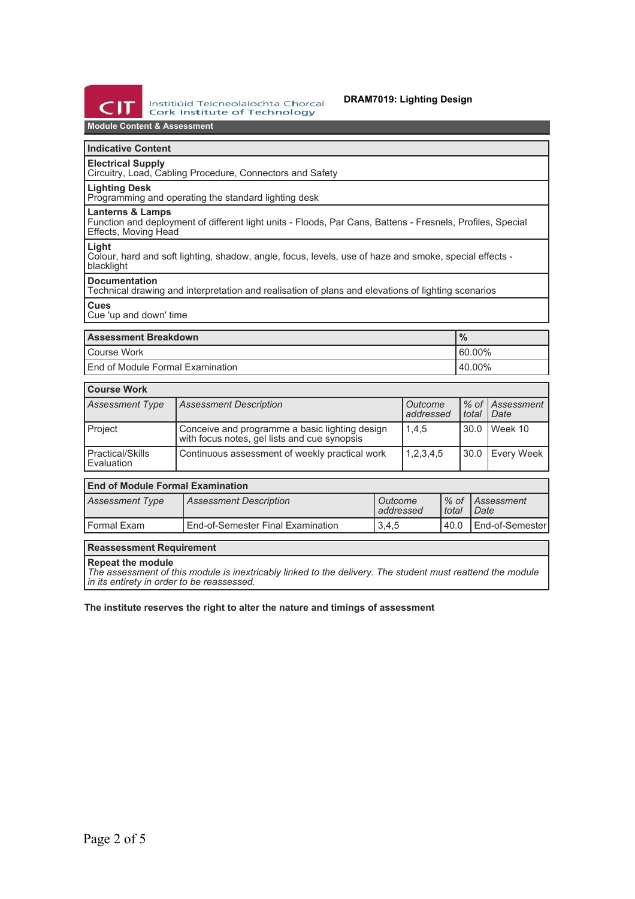

### **DRAM7019: Lighting Design**

# **Module Content & Assessment**

## **Indicative Content**

**Electrical Supply** Circuitry, Load, Cabling Procedure, Connectors and Safety

# **Lighting Desk**

Programming and operating the standard lighting desk

### **Lanterns & Lamps**

Function and deployment of different light units - Floods, Par Cans, Battens - Fresnels, Profiles, Special Effects, Moving Head

### **Light**

Colour, hard and soft lighting, shadow, angle, focus, levels, use of haze and smoke, special effects blacklight

#### **Documentation**

Technical drawing and interpretation and realisation of plans and elevations of lighting scenarios **Cues**

Cue 'up and down' time

| <b>Assessment Breakdown</b>        | $\frac{9}{6}$ |
|------------------------------------|---------------|
| l Course Work                      | $160.00\%$    |
| l End of Module Formal Examination | $140.00\%$    |

| <b>Course Work</b>               |                                                                                                |                      |         |                                  |  |
|----------------------------------|------------------------------------------------------------------------------------------------|----------------------|---------|----------------------------------|--|
| <b>Assessment Type</b>           | <b>Assessment Description</b>                                                                  | Outcome<br>addressed | l total | % of Assessment<br><i>I</i> Date |  |
| Project                          | Conceive and programme a basic lighting design<br>with focus notes, gel lists and cue synopsis | 1,4,5                | 30.0    | Week 10                          |  |
| l Practical/Skills<br>Evaluation | Continuous assessment of weekly practical work                                                 | 1,2,3,4,5            |         | 30.0 Every Week                  |  |

# **End of Module Formal Examination**

| Assessment Type | <b>Assessment Description</b>     | ' Outcome<br>l addressed | total | 1% of LAssessment<br>$1$ Date |
|-----------------|-----------------------------------|--------------------------|-------|-------------------------------|
| l Formal Exam   | End-of-Semester Final Examination | 3.4.5                    | 40.0  | I End-of-Semester             |

#### **Reassessment Requirement**

#### **Repeat the module**

*The assessment of this module is inextricably linked to the delivery. The student must reattend the module in its entirety in order to be reassessed.*

#### **The institute reserves the right to alter the nature and timings of assessment**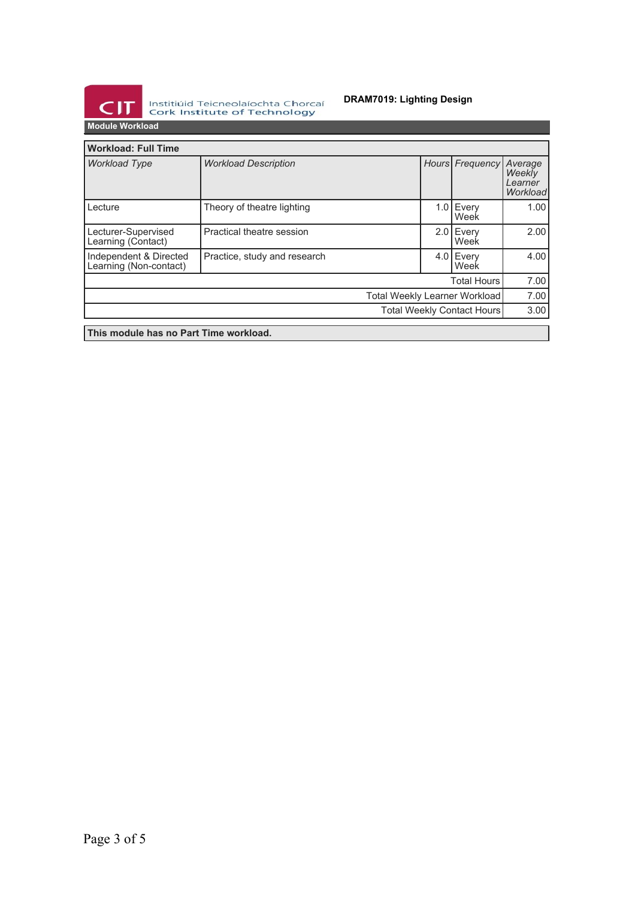

Institiúid Teicneolaíochta Chorcaí<br>Cork Institute of Technology

## **DRAM7019: Lighting Design**

**Module Workload**

| <b>Workload: Full Time</b>                       |                              |  |  |                     |                                          |
|--------------------------------------------------|------------------------------|--|--|---------------------|------------------------------------------|
| <b>Workload Type</b>                             | <b>Workload Description</b>  |  |  | Hours Frequency     | Average<br>Weekly<br>Learner<br>Workload |
| Lecture                                          | Theory of theatre lighting   |  |  | $1.0$ Every<br>Week | 1.00                                     |
| Lecturer-Supervised<br>Learning (Contact)        | Practical theatre session    |  |  | 2.0 Every<br>Week   | 2.00                                     |
| Independent & Directed<br>Learning (Non-contact) | Practice, study and research |  |  | 4.0 Every<br>Week   | 4.00                                     |
|                                                  |                              |  |  | <b>Total Hours</b>  | 7.00                                     |
| Total Weekly Learner Workload                    |                              |  |  |                     | 7.00                                     |
| Total Weekly Contact Hours                       |                              |  |  |                     | 3.00                                     |
| This module has no Part Time workload.           |                              |  |  |                     |                                          |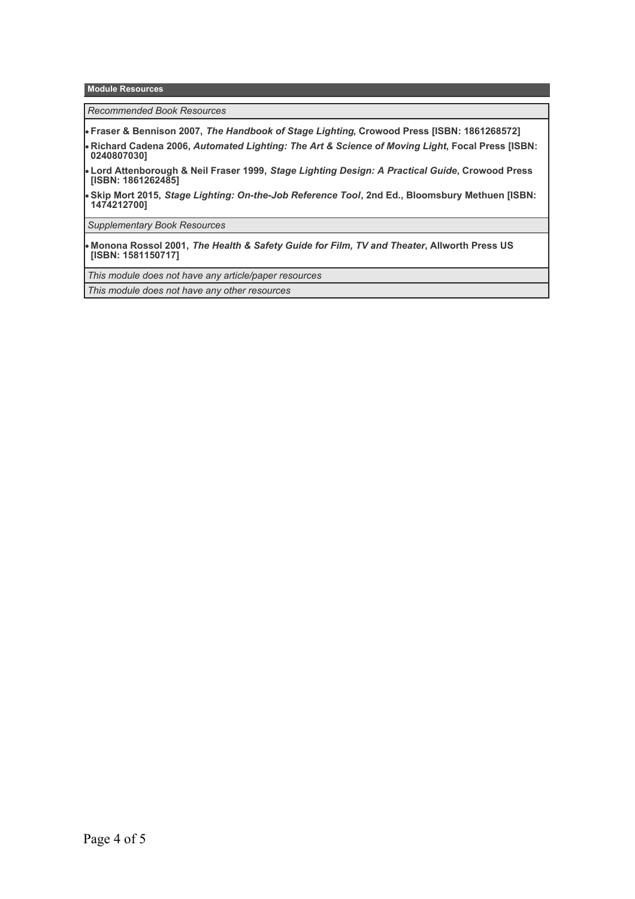**Module Resources**

*Recommended Book Resources*

**Fraser & Bennison 2007,** *The Handbook of Stage Lighting***, Crowood Press [ISBN: 1861268572]**

- **Richard Cadena 2006,** *Automated Lighting: The Art & Science of Moving Light***, Focal Press [ISBN: 0240807030]**
- **Lord Attenborough & Neil Fraser 1999,** *Stage Lighting Design: A Practical Guide***, Crowood Press [ISBN: 1861262485]**
- **Skip Mort 2015,** *Stage Lighting: On-the-Job Reference Tool***, 2nd Ed., Bloomsbury Methuen [ISBN: 1474212700]**

*Supplementary Book Resources*

**Monona Rossol 2001,** *The Health & Safety Guide for Film, TV and Theater***, Allworth Press US [ISBN: 1581150717]**

*This module does not have any article/paper resources*

*This module does not have any other resources*